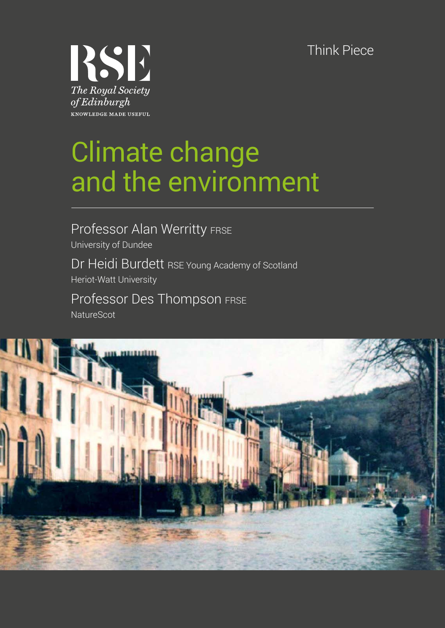Think Piece



# Climate change and the environment

Professor Alan Werritty FRSE Dr Heidi Burdett RSE Young Academy of Scotland University of Dundee Heriot-Watt University

Professor Des Thompson FRSE **NatureScot** 

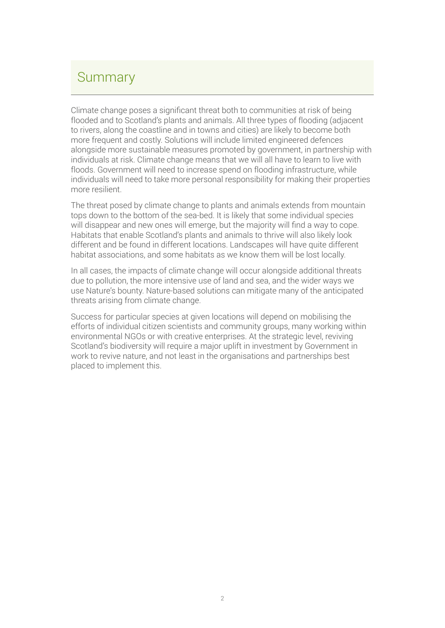### Summary

Climate change poses a significant threat both to communities at risk of being flooded and to Scotland's plants and animals. All three types of flooding (adjacent to rivers, along the coastline and in towns and cities) are likely to become both more frequent and costly. Solutions will include limited engineered defences alongside more sustainable measures promoted by government, in partnership with individuals at risk. Climate change means that we will all have to learn to live with floods. Government will need to increase spend on flooding infrastructure, while individuals will need to take more personal responsibility for making their properties more resilient.

The threat posed by climate change to plants and animals extends from mountain tops down to the bottom of the sea-bed. It is likely that some individual species will disappear and new ones will emerge, but the majority will find a way to cope. Habitats that enable Scotland's plants and animals to thrive will also likely look different and be found in different locations. Landscapes will have quite different habitat associations, and some habitats as we know them will be lost locally.

In all cases, the impacts of climate change will occur alongside additional threats due to pollution, the more intensive use of land and sea, and the wider ways we use Nature's bounty. Nature-based solutions can mitigate many of the anticipated threats arising from climate change.

Success for particular species at given locations will depend on mobilising the efforts of individual citizen scientists and community groups, many working within environmental NGOs or with creative enterprises. At the strategic level, reviving Scotland's biodiversity will require a major uplift in investment by Government in work to revive nature, and not least in the organisations and partnerships best placed to implement this.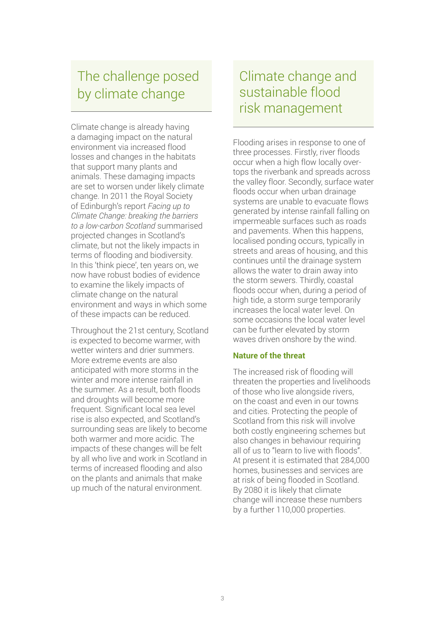# The challenge posed by climate change

Climate change is already having a damaging impact on the natural environment via increased flood losses and changes in the habitats that support many plants and animals. These damaging impacts are set to worsen under likely climate change. In 2011 the Royal Society of Edinburgh's report *Facing up to Climate Change: breaking the barriers to a low-carbon Scotland* summarised projected changes in Scotland's climate, but not the likely impacts in terms of flooding and biodiversity. In this 'think piece', ten years on, we now have robust bodies of evidence to examine the likely impacts of climate change on the natural environment and ways in which some of these impacts can be reduced.

Throughout the 21st century, Scotland is expected to become warmer, with wetter winters and drier summers. More extreme events are also anticipated with more storms in the winter and more intense rainfall in the summer. As a result, both floods and droughts will become more frequent. Significant local sea level rise is also expected, and Scotland's surrounding seas are likely to become both warmer and more acidic. The impacts of these changes will be felt by all who live and work in Scotland in terms of increased flooding and also on the plants and animals that make up much of the natural environment.

### Climate change and sustainable flood risk management

Flooding arises in response to one of three processes. Firstly, river floods occur when a high flow locally overtops the riverbank and spreads across the valley floor. Secondly, surface water floods occur when urban drainage systems are unable to evacuate flows generated by intense rainfall falling on impermeable surfaces such as roads and pavements. When this happens, localised ponding occurs, typically in streets and areas of housing, and this continues until the drainage system allows the water to drain away into the storm sewers. Thirdly, coastal floods occur when, during a period of high tide, a storm surge temporarily increases the local water level. On some occasions the local water level can be further elevated by storm waves driven onshore by the wind.

#### **Nature of the threat**

The increased risk of flooding will threaten the properties and livelihoods of those who live alongside rivers, on the coast and even in our towns and cities. Protecting the people of Scotland from this risk will involve both costly engineering schemes but also changes in behaviour requiring all of us to "learn to live with floods". At present it is estimated that 284,000 homes, businesses and services are at risk of being flooded in Scotland. By 2080 it is likely that climate change will increase these numbers by a further 110,000 properties.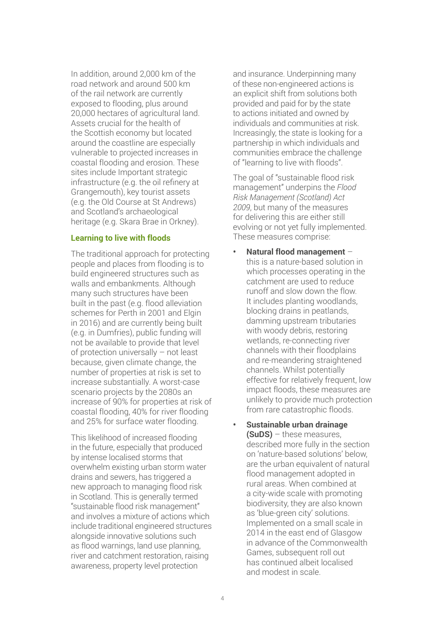In addition, around 2,000 km of the road network and around 500 km of the rail network are currently exposed to flooding, plus around 20,000 hectares of agricultural land. Assets crucial for the health of the Scottish economy but located around the coastline are especially vulnerable to projected increases in coastal flooding and erosion. These sites include Important strategic infrastructure (e.g. the oil refinery at Grangemouth), key tourist assets (e.g. the Old Course at St Andrews) and Scotland's archaeological heritage (e.g. Skara Brae in Orkney).

#### **Learning to live with floods**

The traditional approach for protecting people and places from flooding is to build engineered structures such as walls and embankments. Although many such structures have been built in the past (e.g. flood alleviation schemes for Perth in 2001 and Elgin in 2016) and are currently being built (e.g. in Dumfries), public funding will not be available to provide that level of protection universally – not least because, given climate change, the number of properties at risk is set to increase substantially. A worst-case scenario projects by the 2080s an increase of 90% for properties at risk of coastal flooding, 40% for river flooding and 25% for surface water flooding.

This likelihood of increased flooding in the future, especially that produced by intense localised storms that overwhelm existing urban storm water drains and sewers, has triggered a new approach to managing flood risk in Scotland. This is generally termed "sustainable flood risk management" and involves a mixture of actions which include traditional engineered structures alongside innovative solutions such as flood warnings, land use planning, river and catchment restoration, raising awareness, property level protection

and insurance. Underpinning many of these non-engineered actions is an explicit shift from solutions both provided and paid for by the state to actions initiated and owned by individuals and communities at risk. Increasingly, the state is looking for a partnership in which individuals and communities embrace the challenge of "learning to live with floods".

The goal of "sustainable flood risk management" underpins the *Flood Risk Management (Scotland) Act 2009*, but many of the measures for delivering this are either still evolving or not yet fully implemented. These measures comprise:

- **• Natural flood management** this is a nature-based solution in which processes operating in the catchment are used to reduce runoff and slow down the flow. It includes planting woodlands, blocking drains in peatlands, damming upstream tributaries with woody debris, restoring wetlands, re-connecting river channels with their floodplains and re-meandering straightened channels. Whilst potentially effective for relatively frequent, low impact floods, these measures are unlikely to provide much protection from rare catastrophic floods.
- **• Sustainable urban drainage (SuDS)** – these measures, described more fully in the section on 'nature-based solutions' below, are the urban equivalent of natural flood management adopted in rural areas. When combined at a city-wide scale with promoting biodiversity, they are also known as 'blue-green city' solutions. Implemented on a small scale in 2014 in the east end of Glasgow in advance of the Commonwealth Games, subsequent roll out has continued albeit localised and modest in scale.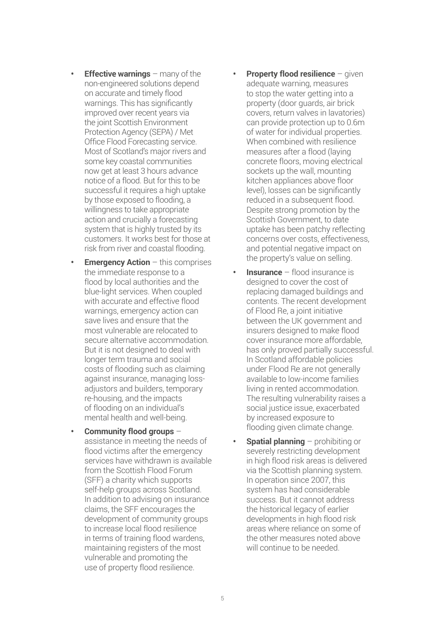- *•* **<b>Effective warnings** many of the non-engineered solutions depend on accurate and timely flood warnings. This has significantly improved over recent years via the joint Scottish Environment Protection Agency (SEPA) / Met Office Flood Forecasting service. Most of Scotland's major rivers and some key coastal communities now get at least 3 hours advance notice of a flood. But for this to be successful it requires a high uptake by those exposed to flooding, a willingness to take appropriate action and crucially a forecasting system that is highly trusted by its customers. It works best for those at risk from river and coastal flooding.
- **Emergency Action** this comprises the immediate response to a flood by local authorities and the blue-light services. When coupled with accurate and effective flood warnings, emergency action can save lives and ensure that the most vulnerable are relocated to secure alternative accommodation. But it is not designed to deal with longer term trauma and social costs of flooding such as claiming against insurance, managing lossadjustors and builders, temporary re-housing, and the impacts of flooding on an individual's mental health and well-being.
- **• Community flood groups** assistance in meeting the needs of flood victims after the emergency services have withdrawn is available from the Scottish Flood Forum (SFF) a charity which supports self-help groups across Scotland. In addition to advising on insurance claims, the SFF encourages the development of community groups to increase local flood resilience in terms of training flood wardens, maintaining registers of the most vulnerable and promoting the use of property flood resilience.
- **Property flood resilience** given adequate warning, measures to stop the water getting into a property (door guards, air brick covers, return valves in lavatories) can provide protection up to 0.6m of water for individual properties. When combined with resilience measures after a flood (laying concrete floors, moving electrical sockets up the wall, mounting kitchen appliances above floor level), losses can be significantly reduced in a subsequent flood. Despite strong promotion by the Scottish Government, to date uptake has been patchy reflecting concerns over costs, effectiveness, and potential negative impact on the property's value on selling.
- **• Insurance** flood insurance is designed to cover the cost of replacing damaged buildings and contents. The recent development of Flood Re, a joint initiative between the UK government and insurers designed to make flood cover insurance more affordable, has only proved partially successful. In Scotland affordable policies under Flood Re are not generally available to low-income families living in rented accommodation. The resulting vulnerability raises a social justice issue, exacerbated by increased exposure to flooding given climate change.
- **• Spatial planning** prohibiting or severely restricting development in high flood risk areas is delivered via the Scottish planning system. In operation since 2007, this system has had considerable success. But it cannot address the historical legacy of earlier developments in high flood risk areas where reliance on some of the other measures noted above will continue to be needed.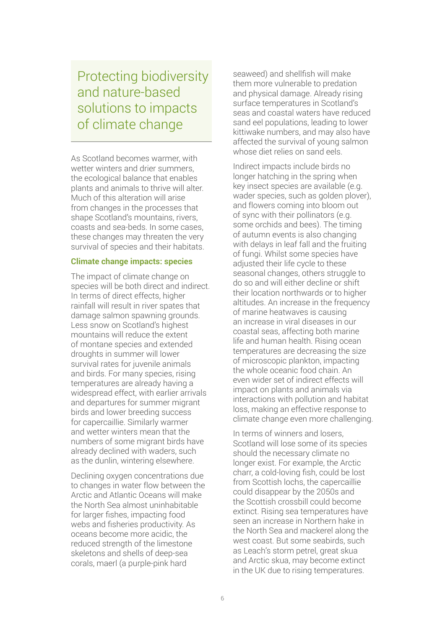Protecting biodiversity and nature-based solutions to impacts of climate change

As Scotland becomes warmer, with wetter winters and drier summers. the ecological balance that enables plants and animals to thrive will alter. Much of this alteration will arise from changes in the processes that shape Scotland's mountains, rivers, coasts and sea-beds. In some cases, these changes may threaten the very survival of species and their habitats.

#### **Climate change impacts: species**

The impact of climate change on species will be both direct and indirect. In terms of direct effects, higher rainfall will result in river spates that damage salmon spawning grounds. Less snow on Scotland's highest mountains will reduce the extent of montane species and extended droughts in summer will lower survival rates for juvenile animals and birds. For many species, rising temperatures are already having a widespread effect, with earlier arrivals and departures for summer migrant birds and lower breeding success for capercaillie. Similarly warmer and wetter winters mean that the numbers of some migrant birds have already declined with waders, such as the dunlin, wintering elsewhere.

Declining oxygen concentrations due to changes in water flow between the Arctic and Atlantic Oceans will make the North Sea almost uninhabitable for larger fishes, impacting food webs and fisheries productivity. As oceans become more acidic, the reduced strength of the limestone skeletons and shells of deep-sea corals, maerl (a purple-pink hard

seaweed) and shellfish will make them more vulnerable to predation and physical damage. Already rising surface temperatures in Scotland's seas and coastal waters have reduced sand eel populations, leading to lower kittiwake numbers, and may also have affected the survival of young salmon whose diet relies on sand eels.

Indirect impacts include birds no longer hatching in the spring when key insect species are available (e.g. wader species, such as golden plover), and flowers coming into bloom out of sync with their pollinators (e.g. some orchids and bees). The timing of autumn events is also changing with delays in leaf fall and the fruiting of fungi. Whilst some species have adjusted their life cycle to these seasonal changes, others struggle to do so and will either decline or shift their location northwards or to higher altitudes. An increase in the frequency of marine heatwaves is causing an increase in viral diseases in our coastal seas, affecting both marine life and human health. Rising ocean temperatures are decreasing the size of microscopic plankton, impacting the whole oceanic food chain. An even wider set of indirect effects will impact on plants and animals via interactions with pollution and habitat loss, making an effective response to climate change even more challenging.

In terms of winners and losers, Scotland will lose some of its species should the necessary climate no longer exist. For example, the Arctic charr, a cold-loving fish, could be lost from Scottish lochs, the capercaillie could disappear by the 2050s and the Scottish crossbill could become extinct. Rising sea temperatures have seen an increase in Northern hake in the North Sea and mackerel along the west coast. But some seabirds, such as Leach's storm petrel, great skua and Arctic skua, may become extinct in the UK due to rising temperatures.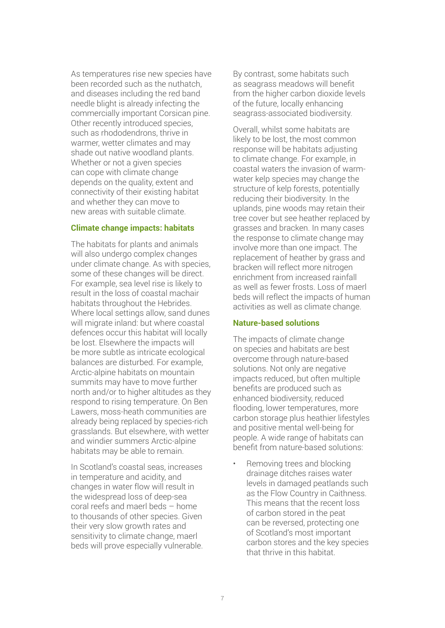As temperatures rise new species have been recorded such as the nuthatch, and diseases including the red band needle blight is already infecting the commercially important Corsican pine. Other recently introduced species, such as rhododendrons, thrive in warmer, wetter climates and may shade out native woodland plants. Whether or not a given species can cope with climate change depends on the quality, extent and connectivity of their existing habitat and whether they can move to new areas with suitable climate.

#### **Climate change impacts: habitats**

The habitats for plants and animals will also undergo complex changes under climate change. As with species, some of these changes will be direct. For example, sea level rise is likely to result in the loss of coastal machair habitats throughout the Hebrides. Where local settings allow, sand dunes will migrate inland: but where coastal defences occur this habitat will locally be lost. Elsewhere the impacts will be more subtle as intricate ecological balances are disturbed. For example, Arctic-alpine habitats on mountain summits may have to move further north and/or to higher altitudes as they respond to rising temperature. On Ben Lawers, moss-heath communities are already being replaced by species-rich grasslands. But elsewhere, with wetter and windier summers Arctic-alpine habitats may be able to remain.

In Scotland's coastal seas, increases in temperature and acidity, and changes in water flow will result in the widespread loss of deep-sea coral reefs and maerl beds – home to thousands of other species. Given their very slow growth rates and sensitivity to climate change, maerl beds will prove especially vulnerable. By contrast, some habitats such as seagrass meadows will benefit from the higher carbon dioxide levels of the future, locally enhancing seagrass-associated biodiversity.

Overall, whilst some habitats are likely to be lost, the most common response will be habitats adjusting to climate change. For example, in coastal waters the invasion of warmwater kelp species may change the structure of kelp forests, potentially reducing their biodiversity. In the uplands, pine woods may retain their tree cover but see heather replaced by grasses and bracken. In many cases the response to climate change may involve more than one impact. The replacement of heather by grass and bracken will reflect more nitrogen enrichment from increased rainfall as well as fewer frosts. Loss of maerl beds will reflect the impacts of human activities as well as climate change.

#### **Nature-based solutions**

The impacts of climate change on species and habitats are best overcome through nature-based solutions. Not only are negative impacts reduced, but often multiple benefits are produced such as enhanced biodiversity, reduced flooding, lower temperatures, more carbon storage plus heathier lifestyles and positive mental well-being for people. A wide range of habitats can benefit from nature-based solutions:

Removing trees and blocking drainage ditches raises water levels in damaged peatlands such as the Flow Country in Caithness. This means that the recent loss of carbon stored in the peat can be reversed, protecting one of Scotland's most important carbon stores and the key species that thrive in this habitat.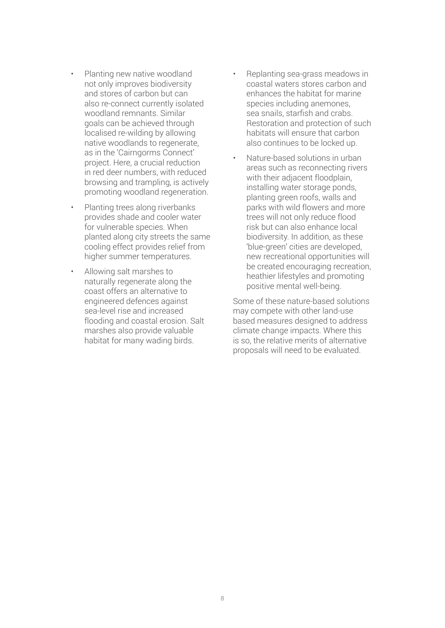- Planting new native woodland not only improves biodiversity and stores of carbon but can also re-connect currently isolated woodland remnants. Similar goals can be achieved through localised re-wilding by allowing native woodlands to regenerate, as in the 'Cairngorms Connect' project. Here, a crucial reduction in red deer numbers, with reduced browsing and trampling, is actively promoting woodland regeneration.
- Planting trees along riverbanks provides shade and cooler water for vulnerable species. When planted along city streets the same cooling effect provides relief from higher summer temperatures.
- Allowing salt marshes to naturally regenerate along the coast offers an alternative to engineered defences against sea-level rise and increased flooding and coastal erosion. Salt marshes also provide valuable habitat for many wading birds.
- Replanting sea-grass meadows in coastal waters stores carbon and enhances the habitat for marine species including anemones, sea snails, starfish and crabs. Restoration and protection of such habitats will ensure that carbon also continues to be locked up.
- Nature-based solutions in urban areas such as reconnecting rivers with their adjacent floodplain. installing water storage ponds, planting green roofs, walls and parks with wild flowers and more trees will not only reduce flood risk but can also enhance local biodiversity. In addition, as these 'blue-green' cities are developed, new recreational opportunities will be created encouraging recreation, heathier lifestyles and promoting positive mental well-being.

Some of these nature-based solutions may compete with other land-use based measures designed to address climate change impacts. Where this is so, the relative merits of alternative proposals will need to be evaluated.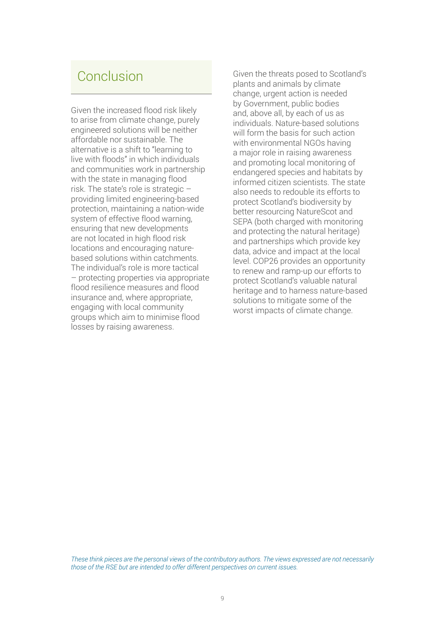### Conclusion

Given the increased flood risk likely to arise from climate change, purely engineered solutions will be neither affordable nor sustainable. The alternative is a shift to "learning to live with floods" in which individuals and communities work in partnership with the state in managing flood risk. The state's role is strategic – providing limited engineering-based protection, maintaining a nation-wide system of effective flood warning, ensuring that new developments are not located in high flood risk locations and encouraging naturebased solutions within catchments. The individual's role is more tactical – protecting properties via appropriate flood resilience measures and flood insurance and, where appropriate, engaging with local community groups which aim to minimise flood losses by raising awareness.

Given the threats posed to Scotland's plants and animals by climate change, urgent action is needed by Government, public bodies and, above all, by each of us as individuals. Nature-based solutions will form the basis for such action with environmental NGOs having a major role in raising awareness and promoting local monitoring of endangered species and habitats by informed citizen scientists. The state also needs to redouble its efforts to protect Scotland's biodiversity by better resourcing NatureScot and SEPA (both charged with monitoring and protecting the natural heritage) and partnerships which provide key data, advice and impact at the local level. COP26 provides an opportunity to renew and ramp-up our efforts to protect Scotland's valuable natural heritage and to harness nature-based solutions to mitigate some of the worst impacts of climate change.

*These think pieces are the personal views of the contributory authors. The views expressed are not necessarily those of the RSE but are intended to offer different perspectives on current issues.*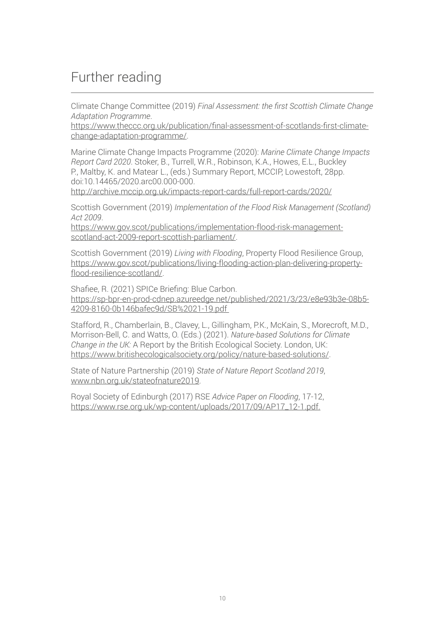# Further reading

Climate Change Committee (2019) *Final Assessment: the first Scottish Climate Change Adaptation Programme*.

[https://www.theccc.org.uk/publication/final-assessment-of-scotlands-first-climate](https://www.theccc.org.uk/publication/final-assessment-of-scotlands-first-climate-change-adaptation-programme/)[change-adaptation-programme/.](https://www.theccc.org.uk/publication/final-assessment-of-scotlands-first-climate-change-adaptation-programme/)

Marine Climate Change Impacts Programme (2020): *Marine Climate Change Impacts Report Card 2020*. Stoker, B., Turrell, W.R., Robinson, K.A., Howes, E.L., Buckley P., Maltby, K. and Matear L., (eds.) Summary Report, MCCIP, Lowestoft, 28pp. doi:10.14465/2020.arc00.000-000.

<http://archive.mccip.org.uk/impacts-report-cards/full-report-cards/2020/>

Scottish Government (2019) *Implementation of the Flood Risk Management (Scotland) Act 2009*.

[https://www.gov.scot/publications/implementation-flood-risk-management](https://www.gov.scot/publications/implementation-flood-risk-management-scotland-act-2009-report-scottish-parliament/)[scotland-act-2009-report-scottish-parliament/](https://www.gov.scot/publications/implementation-flood-risk-management-scotland-act-2009-report-scottish-parliament/).

Scottish Government (2019) *Living with Flooding*, Property Flood Resilience Group, [https://www.gov.scot/publications/living-flooding-action-plan-delivering-property](https://www.gov.scot/publications/living-flooding-action-plan-delivering-property-flood-resilience-scotland/)[flood-resilience-scotland/](https://www.gov.scot/publications/living-flooding-action-plan-delivering-property-flood-resilience-scotland/).

Shafiee, R. (2021) SPICe Briefing: Blue Carbon. [https://sp-bpr-en-prod-cdnep.azureedge.net/published/2021/3/23/e8e93b3e-08b5-](https://sp-bpr-en-prod-cdnep.azureedge.net/published/2021/3/23/e8e93b3e-08b5-4209-8160-0b146bafec9d/SB%2021-19.pdf) [4209-8160-0b146bafec9d/SB%2021-19.pdf](https://sp-bpr-en-prod-cdnep.azureedge.net/published/2021/3/23/e8e93b3e-08b5-4209-8160-0b146bafec9d/SB%2021-19.pdf) 

Stafford, R., Chamberlain, B., Clavey, L., Gillingham, P.K., McKain, S., Morecroft, M.D., Morrison-Bell, C. and Watts, O. (Eds.) (2021). *Nature-based Solutions for Climate Change in the UK:* A Report by the British Ecological Society. London, UK: <https://www.britishecologicalsociety.org/policy/nature-based-solutions/>.

State of Nature Partnership (2019) *State of Nature Report Scotland 2019*, <www.nbn.org.uk/stateofnature2019>.

Royal Society of Edinburgh (2017) RSE *Advice Paper on Flooding*, 17-12, [https://www.rse.org.uk/wp-content/uploads/2017/09/AP17\\_12-1.pdf.](https://www.rse.org.uk/wp-content/uploads/2017/09/AP17_12-1.pdf.)